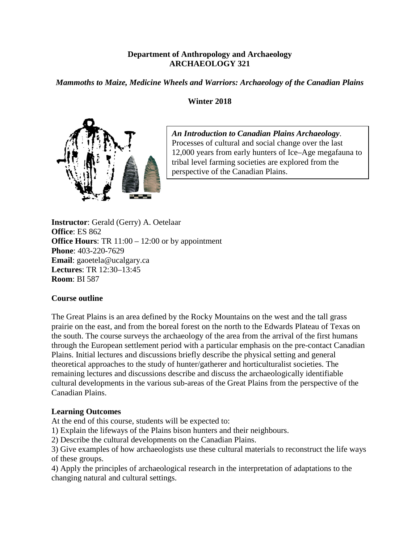# **Department of Anthropology and Archaeology ARCHAEOLOGY 321**

*Mammoths to Maize, Medicine Wheels and Warriors: Archaeology of the Canadian Plains*

# **Winter 2018**



*An Introduction to Canadian Plains Archaeology*. Processes of cultural and social change over the last 12,000 years from early hunters of Ice–Age megafauna to tribal level farming societies are explored from the perspective of the Canadian Plains.

**Instructor**: Gerald (Gerry) A. Oetelaar **Office**: ES 862 **Office Hours:** TR 11:00 – 12:00 or by appointment **Phone**: 403-220-7629 **Email**: gaoetela@ucalgary.ca **Lectures**: TR 12:30–13:45 **Room**: BI 587

### **Course outline**

The Great Plains is an area defined by the Rocky Mountains on the west and the tall grass prairie on the east, and from the boreal forest on the north to the Edwards Plateau of Texas on the south. The course surveys the archaeology of the area from the arrival of the first humans through the European settlement period with a particular emphasis on the pre-contact Canadian Plains. Initial lectures and discussions briefly describe the physical setting and general theoretical approaches to the study of hunter/gatherer and horticulturalist societies. The remaining lectures and discussions describe and discuss the archaeologically identifiable cultural developments in the various sub-areas of the Great Plains from the perspective of the Canadian Plains.

# **Learning Outcomes**

At the end of this course, students will be expected to:

1) Explain the lifeways of the Plains bison hunters and their neighbours.

2) Describe the cultural developments on the Canadian Plains.

3) Give examples of how archaeologists use these cultural materials to reconstruct the life ways of these groups.

4) Apply the principles of archaeological research in the interpretation of adaptations to the changing natural and cultural settings.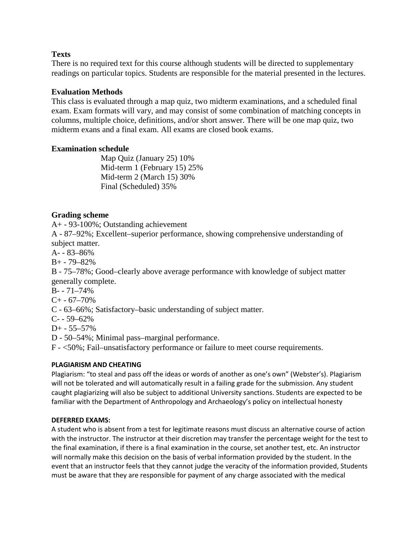## **Texts**

There is no required text for this course although students will be directed to supplementary readings on particular topics. Students are responsible for the material presented in the lectures.

## **Evaluation Methods**

This class is evaluated through a map quiz, two midterm examinations, and a scheduled final exam. Exam formats will vary, and may consist of some combination of matching concepts in columns, multiple choice, definitions, and/or short answer. There will be one map quiz, two midterm exans and a final exam. All exams are closed book exams.

## **Examination schedule**

Map Quiz (January 25) 10% Mid-term 1 (February 15) 25% Mid-term 2 (March 15) 30% Final (Scheduled) 35%

# **Grading scheme**

A+ - 93-100%; Outstanding achievement

A - 87–92%; Excellent–superior performance, showing comprehensive understanding of subject matter.

A- - 83–86%

B+ - 79–82%

B - 75–78%; Good–clearly above average performance with knowledge of subject matter generally complete.

 $B - 71 - 74%$ 

 $C+ -67-70%$ 

C - 63–66%; Satisfactory–basic understanding of subject matter.

 $C - 59 - 62%$ 

D+ - 55–57%

D - 50–54%; Minimal pass–marginal performance.

F - <50%; Fail–unsatisfactory performance or failure to meet course requirements.

### **PLAGIARISM AND CHEATING**

Plagiarism: "to steal and pass off the ideas or words of another as one's own" (Webster's). Plagiarism will not be tolerated and will automatically result in a failing grade for the submission. Any student caught plagiarizing will also be subject to additional University sanctions. Students are expected to be familiar with the Department of Anthropology and Archaeology's policy on intellectual honesty

### **DEFERRED EXAMS:**

A student who is absent from a test for legitimate reasons must discuss an alternative course of action with the instructor. The instructor at their discretion may transfer the percentage weight for the test to the final examination, if there is a final examination in the course, set another test, etc. An instructor will normally make this decision on the basis of verbal information provided by the student. In the event that an instructor feels that they cannot judge the veracity of the information provided, Students must be aware that they are responsible for payment of any charge associated with the medical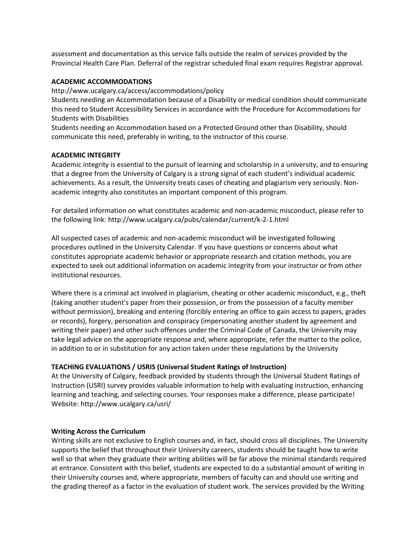assessment and documentation as this service falls outside the realm of services provided by the Provincial Health Care Plan. Deferral of the registrar scheduled final exam requires Registrar approval.

#### **ACADEMIC ACCOMMODATIONS**

http://www.ucalgary.ca/access/accommodations/policy

Students needing an Accommodation because of a Disability or medical condition should communicate this need to Student Accessibility Services in accordance with the Procedure for Accommodations for Students with Disabilities

Students needing an Accommodation based on a Protected Ground other than Disability, should communicate this need, preferably in writing, to the instructor of this course.

#### **ACADEMIC INTEGRITY**

Academic integrity is essential to the pursuit of learning and scholarship in a university, and to ensuring that a degree from the University of Calgary is a strong signal of each student's individual academic achievements. As a result, the University treats cases of cheating and plagiarism very seriously. Nonacademic integrity also constitutes an important component of this program.

For detailed information on what constitutes academic and non-academic misconduct, please refer to the following link: http://www.ucalgary.ca/pubs/calendar/current/k-2-1.html

All suspected cases of academic and non-academic misconduct will be investigated following procedures outlined in the University Calendar. If you have questions or concerns about what constitutes appropriate academic behavior or appropriate research and citation methods, you are expected to seek out additional information on academic integrity from your instructor or from other institutional resources.

Where there is a criminal act involved in plagiarism, cheating or other academic misconduct, e.g., theft (taking another student's paper from their possession, or from the possession of a faculty member without permission), breaking and entering (forcibly entering an office to gain access to papers, grades or records), forgery, personation and conspiracy (impersonating another student by agreement and writing their paper) and other such offences under the Criminal Code of Canada, the University may take legal advice on the appropriate response and, where appropriate, refer the matter to the police, in addition to or in substitution for any action taken under these regulations by the University

#### **TEACHING EVALUATIONS / USRIS (Universal Student Ratings of Instruction)**

At the University of Calgary, feedback provided by students through the Universal Student Ratings of Instruction (USRI) survey provides valuable information to help with evaluating instruction, enhancing learning and teaching, and selecting courses. Your responses make a difference, please participate! Website: http://www.ucalgary.ca/usri/

#### **Writing Across the Curriculum**

Writing skills are not exclusive to English courses and, in fact, should cross all disciplines. The University supports the belief that throughout their University careers, students should be taught how to write well so that when they graduate their writing abilities will be far above the minimal standards required at entrance. Consistent with this belief, students are expected to do a substantial amount of writing in their University courses and, where appropriate, members of faculty can and should use writing and the grading thereof as a factor in the evaluation of student work. The services provided by the Writing